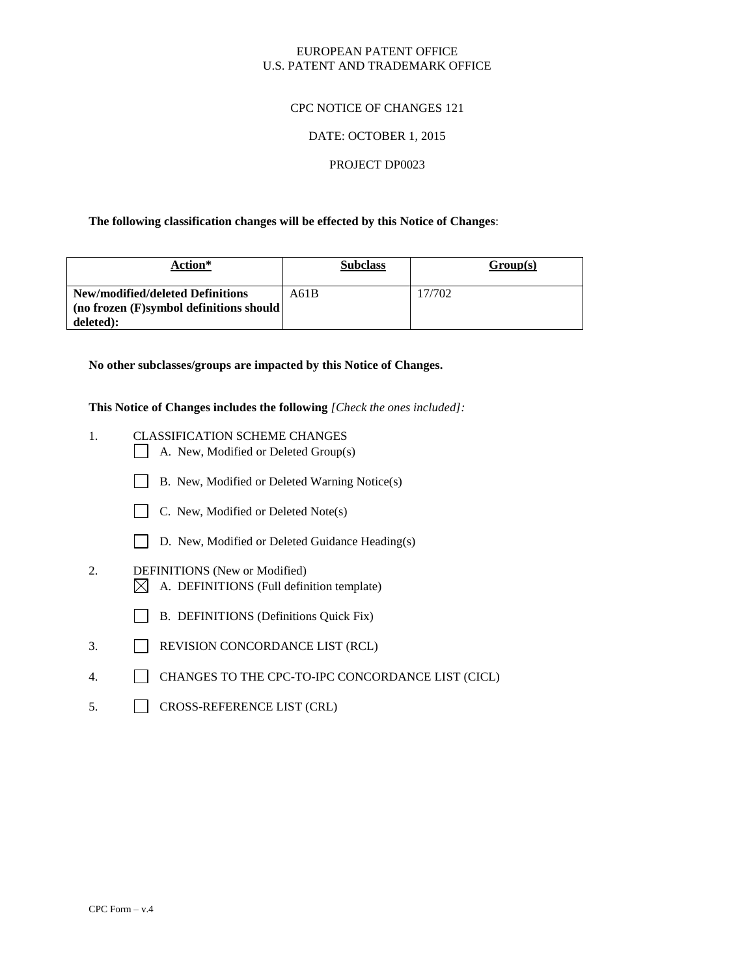#### EUROPEAN PATENT OFFICE U.S. PATENT AND TRADEMARK OFFICE

#### CPC NOTICE OF CHANGES 121

#### DATE: OCTOBER 1, 2015

#### PROJECT DP0023

#### **The following classification changes will be effected by this Notice of Changes**:

| Action*                                 | <b>Subclass</b> | Group(s) |
|-----------------------------------------|-----------------|----------|
| New/modified/deleted Definitions        | A61B            | 17/702   |
| (no frozen (F)symbol definitions should |                 |          |
| deleted):                               |                 |          |

**No other subclasses/groups are impacted by this Notice of Changes.**

**This Notice of Changes includes the following** *[Check the ones included]:*

- 1. CLASSIFICATION SCHEME CHANGES
	- A. New, Modified or Deleted Group(s)
	- B. New, Modified or Deleted Warning Notice(s)
	- C. New, Modified or Deleted Note(s)
	- D. New, Modified or Deleted Guidance Heading(s)
- 2. DEFINITIONS (New or Modified)
	- $\boxtimes$  A. DEFINITIONS (Full definition template)
	- B. DEFINITIONS (Definitions Quick Fix)
- 3. REVISION CONCORDANCE LIST (RCL)
- 4. CHANGES TO THE CPC-TO-IPC CONCORDANCE LIST (CICL)
- 5. CROSS-REFERENCE LIST (CRL)